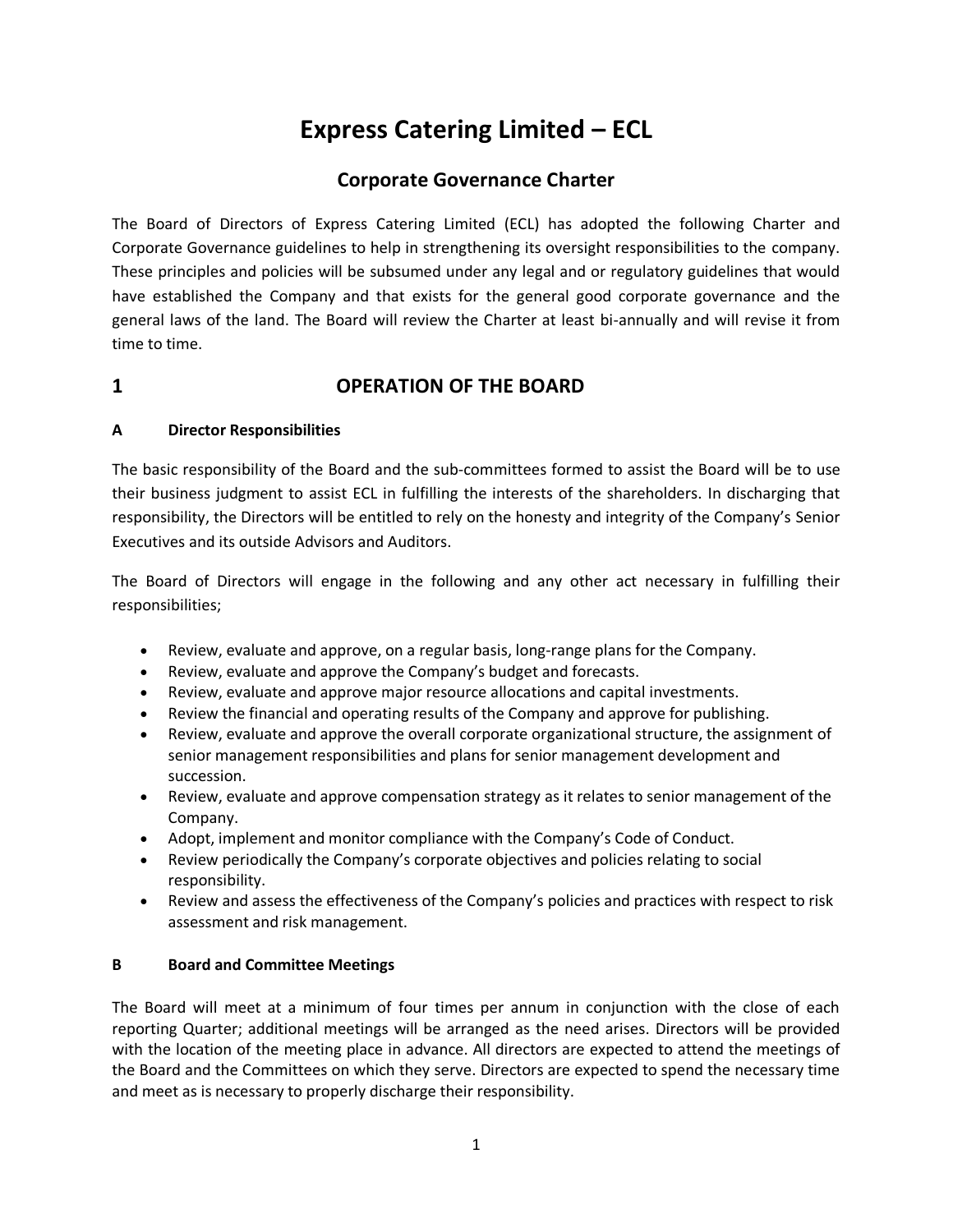# **Express Catering Limited – ECL**

# **Corporate Governance Charter**

The Board of Directors of Express Catering Limited (ECL) has adopted the following Charter and Corporate Governance guidelines to help in strengthening its oversight responsibilities to the company. These principles and policies will be subsumed under any legal and or regulatory guidelines that would have established the Company and that exists for the general good corporate governance and the general laws of the land. The Board will review the Charter at least bi-annually and will revise it from time to time.

# **1 OPERATION OF THE BOARD**

#### **A Director Responsibilities**

The basic responsibility of the Board and the sub-committees formed to assist the Board will be to use their business judgment to assist ECL in fulfilling the interests of the shareholders. In discharging that responsibility, the Directors will be entitled to rely on the honesty and integrity of the Company's Senior Executives and its outside Advisors and Auditors.

The Board of Directors will engage in the following and any other act necessary in fulfilling their responsibilities;

- Review, evaluate and approve, on a regular basis, long-range plans for the Company.
- Review, evaluate and approve the Company's budget and forecasts.
- Review, evaluate and approve major resource allocations and capital investments.
- Review the financial and operating results of the Company and approve for publishing.
- Review, evaluate and approve the overall corporate organizational structure, the assignment of senior management responsibilities and plans for senior management development and succession.
- Review, evaluate and approve compensation strategy as it relates to senior management of the Company.
- Adopt, implement and monitor compliance with the Company's Code of Conduct.
- Review periodically the Company's corporate objectives and policies relating to social responsibility.
- Review and assess the effectiveness of the Company's policies and practices with respect to risk assessment and risk management.

#### **B Board and Committee Meetings**

The Board will meet at a minimum of four times per annum in conjunction with the close of each reporting Quarter; additional meetings will be arranged as the need arises. Directors will be provided with the location of the meeting place in advance. All directors are expected to attend the meetings of the Board and the Committees on which they serve. Directors are expected to spend the necessary time and meet as is necessary to properly discharge their responsibility.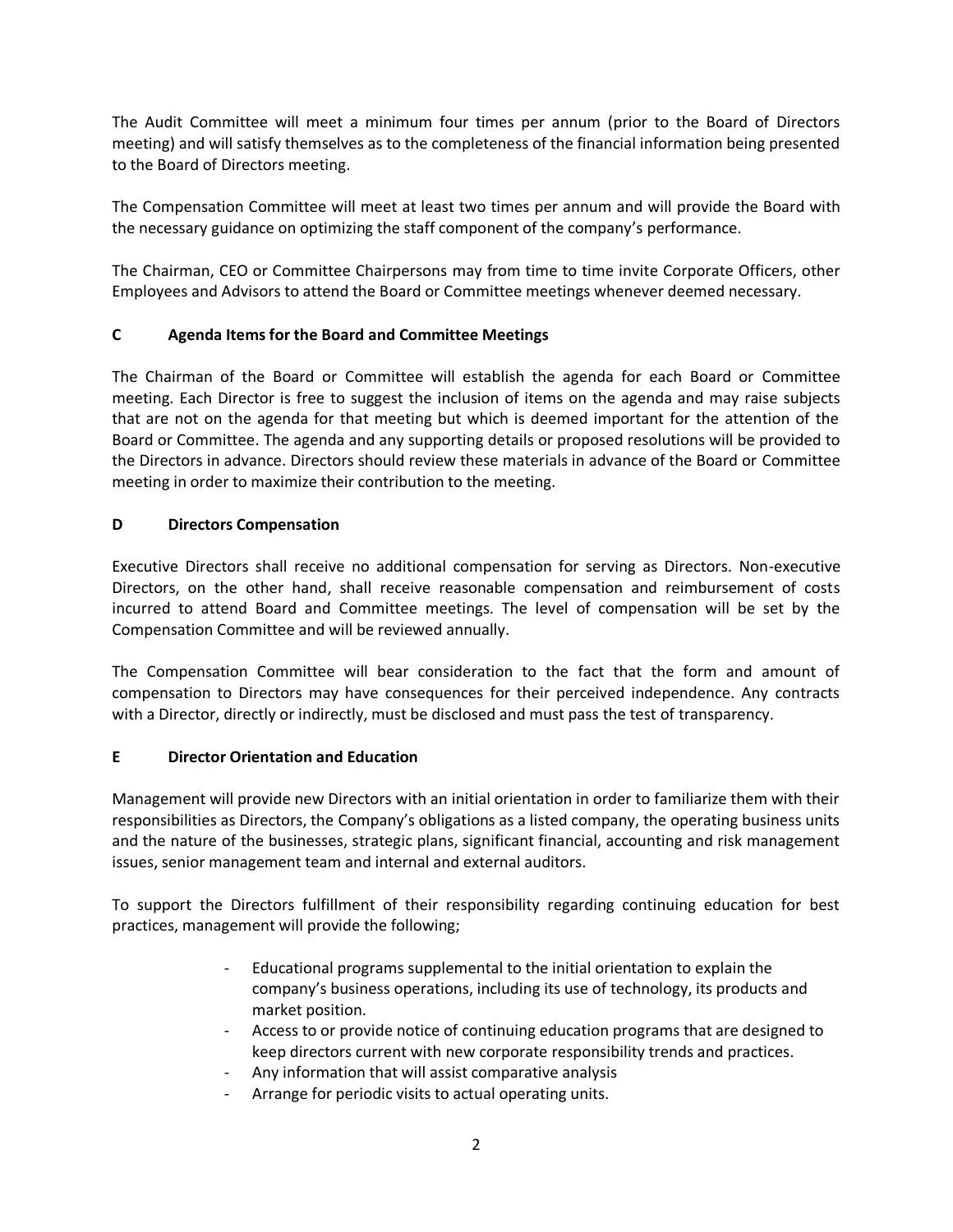The Audit Committee will meet a minimum four times per annum (prior to the Board of Directors meeting) and will satisfy themselves as to the completeness of the financial information being presented to the Board of Directors meeting.

The Compensation Committee will meet at least two times per annum and will provide the Board with the necessary guidance on optimizing the staff component of the company's performance.

The Chairman, CEO or Committee Chairpersons may from time to time invite Corporate Officers, other Employees and Advisors to attend the Board or Committee meetings whenever deemed necessary.

#### **C Agenda Items for the Board and Committee Meetings**

The Chairman of the Board or Committee will establish the agenda for each Board or Committee meeting. Each Director is free to suggest the inclusion of items on the agenda and may raise subjects that are not on the agenda for that meeting but which is deemed important for the attention of the Board or Committee. The agenda and any supporting details or proposed resolutions will be provided to the Directors in advance. Directors should review these materials in advance of the Board or Committee meeting in order to maximize their contribution to the meeting.

#### **D Directors Compensation**

Executive Directors shall receive no additional compensation for serving as Directors. Non-executive Directors, on the other hand, shall receive reasonable compensation and reimbursement of costs incurred to attend Board and Committee meetings. The level of compensation will be set by the Compensation Committee and will be reviewed annually.

The Compensation Committee will bear consideration to the fact that the form and amount of compensation to Directors may have consequences for their perceived independence. Any contracts with a Director, directly or indirectly, must be disclosed and must pass the test of transparency.

#### **E Director Orientation and Education**

Management will provide new Directors with an initial orientation in order to familiarize them with their responsibilities as Directors, the Company's obligations as a listed company, the operating business units and the nature of the businesses, strategic plans, significant financial, accounting and risk management issues, senior management team and internal and external auditors.

To support the Directors fulfillment of their responsibility regarding continuing education for best practices, management will provide the following;

- Educational programs supplemental to the initial orientation to explain the company's business operations, including its use of technology, its products and market position.
- Access to or provide notice of continuing education programs that are designed to keep directors current with new corporate responsibility trends and practices.
- Any information that will assist comparative analysis
- Arrange for periodic visits to actual operating units.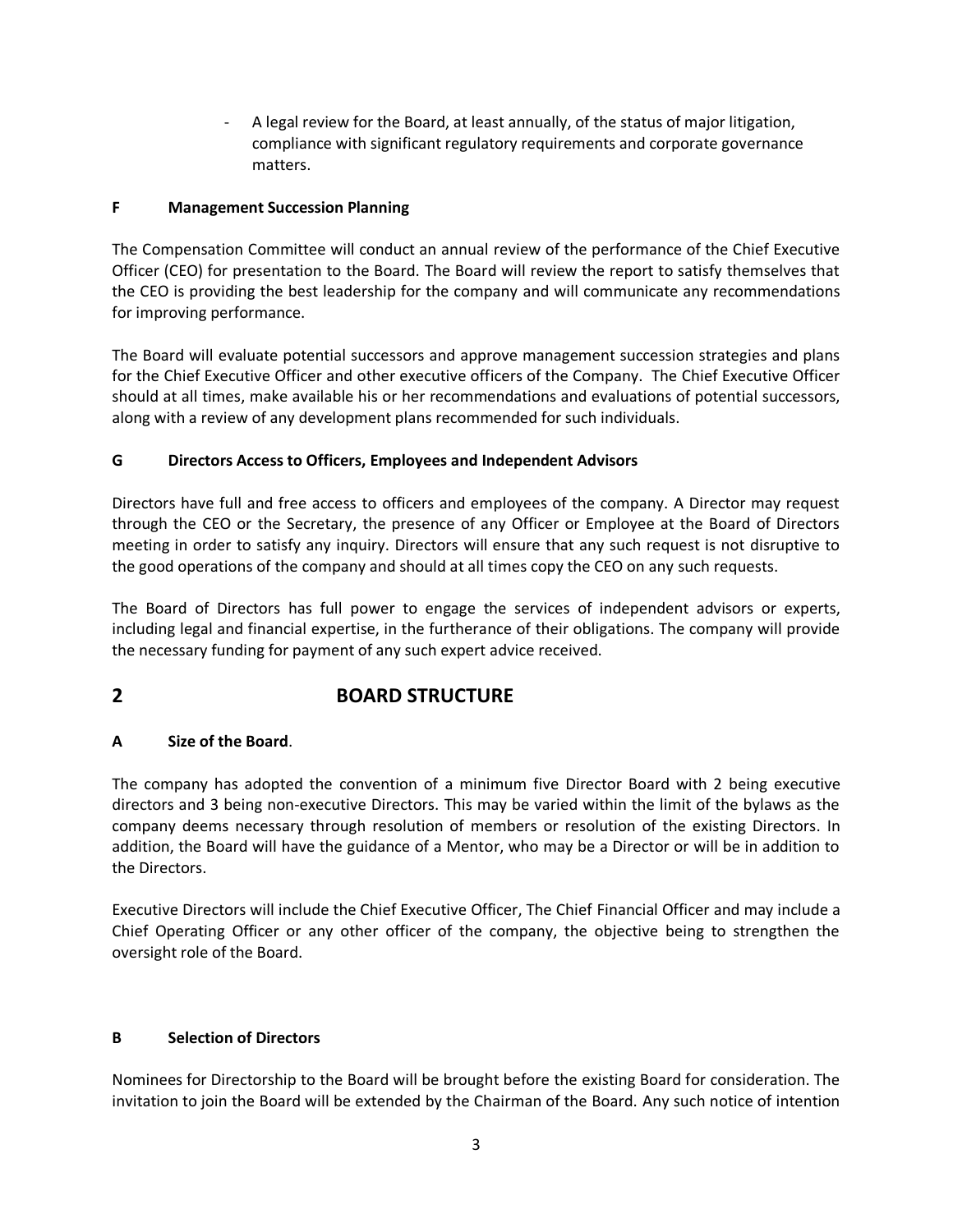- A legal review for the Board, at least annually, of the status of major litigation, compliance with significant regulatory requirements and corporate governance matters.

#### **F Management Succession Planning**

The Compensation Committee will conduct an annual review of the performance of the Chief Executive Officer (CEO) for presentation to the Board. The Board will review the report to satisfy themselves that the CEO is providing the best leadership for the company and will communicate any recommendations for improving performance.

The Board will evaluate potential successors and approve management succession strategies and plans for the Chief Executive Officer and other executive officers of the Company. The Chief Executive Officer should at all times, make available his or her recommendations and evaluations of potential successors, along with a review of any development plans recommended for such individuals.

#### **G Directors Access to Officers, Employees and Independent Advisors**

Directors have full and free access to officers and employees of the company. A Director may request through the CEO or the Secretary, the presence of any Officer or Employee at the Board of Directors meeting in order to satisfy any inquiry. Directors will ensure that any such request is not disruptive to the good operations of the company and should at all times copy the CEO on any such requests.

The Board of Directors has full power to engage the services of independent advisors or experts, including legal and financial expertise, in the furtherance of their obligations. The company will provide the necessary funding for payment of any such expert advice received.

# **2 BOARD STRUCTURE**

#### **A Size of the Board**.

The company has adopted the convention of a minimum five Director Board with 2 being executive directors and 3 being non-executive Directors. This may be varied within the limit of the bylaws as the company deems necessary through resolution of members or resolution of the existing Directors. In addition, the Board will have the guidance of a Mentor, who may be a Director or will be in addition to the Directors.

Executive Directors will include the Chief Executive Officer, The Chief Financial Officer and may include a Chief Operating Officer or any other officer of the company, the objective being to strengthen the oversight role of the Board.

#### **B Selection of Directors**

Nominees for Directorship to the Board will be brought before the existing Board for consideration. The invitation to join the Board will be extended by the Chairman of the Board. Any such notice of intention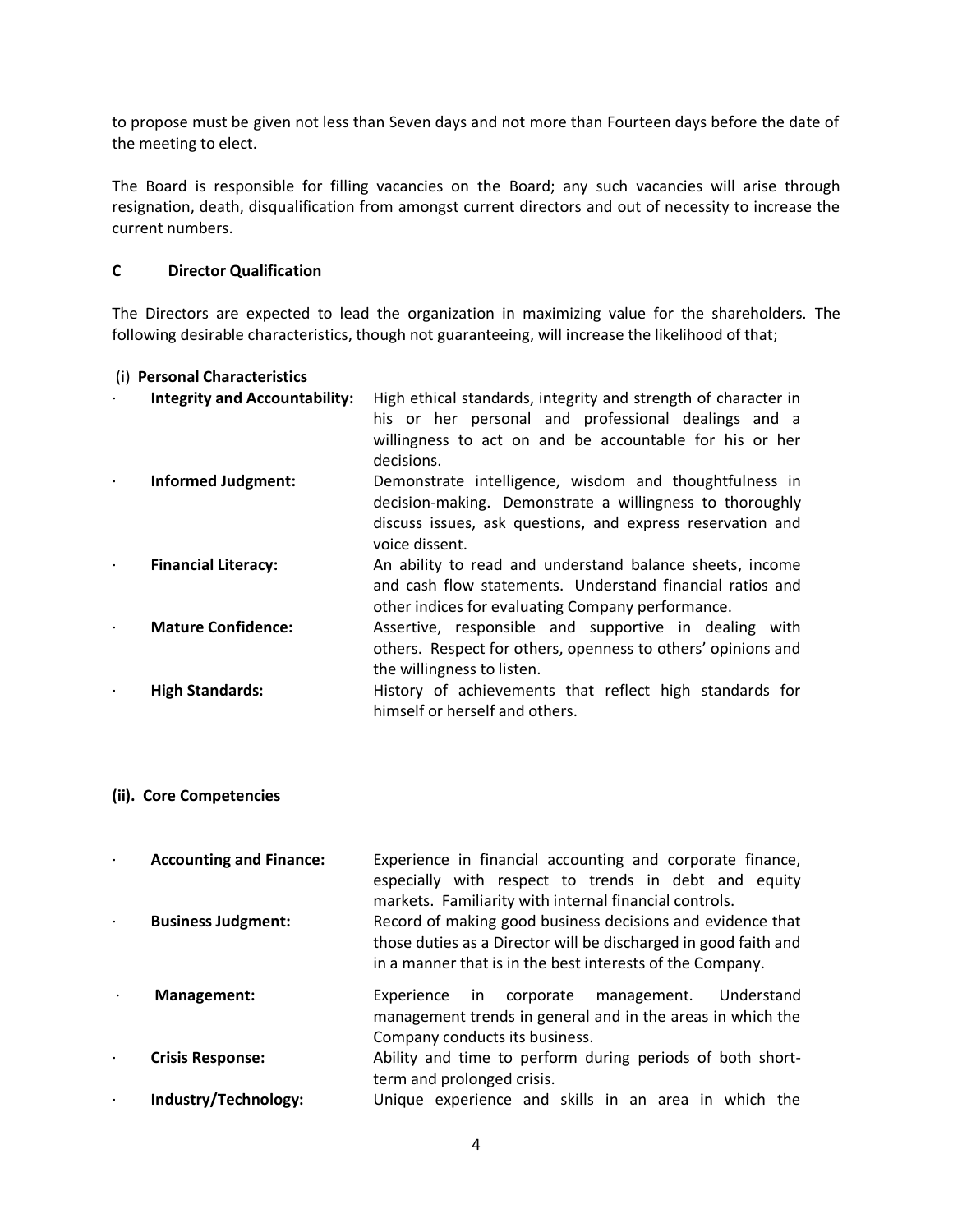to propose must be given not less than Seven days and not more than Fourteen days before the date of the meeting to elect.

The Board is responsible for filling vacancies on the Board; any such vacancies will arise through resignation, death, disqualification from amongst current directors and out of necessity to increase the current numbers.

#### **C Director Qualification**

The Directors are expected to lead the organization in maximizing value for the shareholders. The following desirable characteristics, though not guaranteeing, will increase the likelihood of that;

#### (i) **Personal Characteristics**

| <b>Integrity and Accountability:</b> | High ethical standards, integrity and strength of character in<br>his or her personal and professional dealings and a<br>willingness to act on and be accountable for his or her<br>decisions.     |
|--------------------------------------|----------------------------------------------------------------------------------------------------------------------------------------------------------------------------------------------------|
| <b>Informed Judgment:</b>            | Demonstrate intelligence, wisdom and thoughtfulness in<br>decision-making. Demonstrate a willingness to thoroughly<br>discuss issues, ask questions, and express reservation and<br>voice dissent. |
| <b>Financial Literacy:</b>           | An ability to read and understand balance sheets, income<br>and cash flow statements. Understand financial ratios and<br>other indices for evaluating Company performance.                         |
| <b>Mature Confidence:</b>            | Assertive, responsible and supportive in dealing with<br>others. Respect for others, openness to others' opinions and<br>the willingness to listen.                                                |
| <b>High Standards:</b>               | History of achievements that reflect high standards for<br>himself or herself and others.                                                                                                          |

#### **(ii). Core Competencies**

- · **Accounting and Finance:** Experience in financial accounting and corporate finance, especially with respect to trends in debt and equity markets. Familiarity with internal financial controls. · **Business Judgment:** Record of making good business decisions and evidence that those duties as a Director will be discharged in good faith and
- · **Management:** Experience in corporate management. Understand management trends in general and in the areas in which the Company conducts its business.

in a manner that is in the best interests of the Company.

- · **Crisis Response:** Ability and time to perform during periods of both shortterm and prolonged crisis.
	- · **Industry/Technology:** Unique experience and skills in an area in which the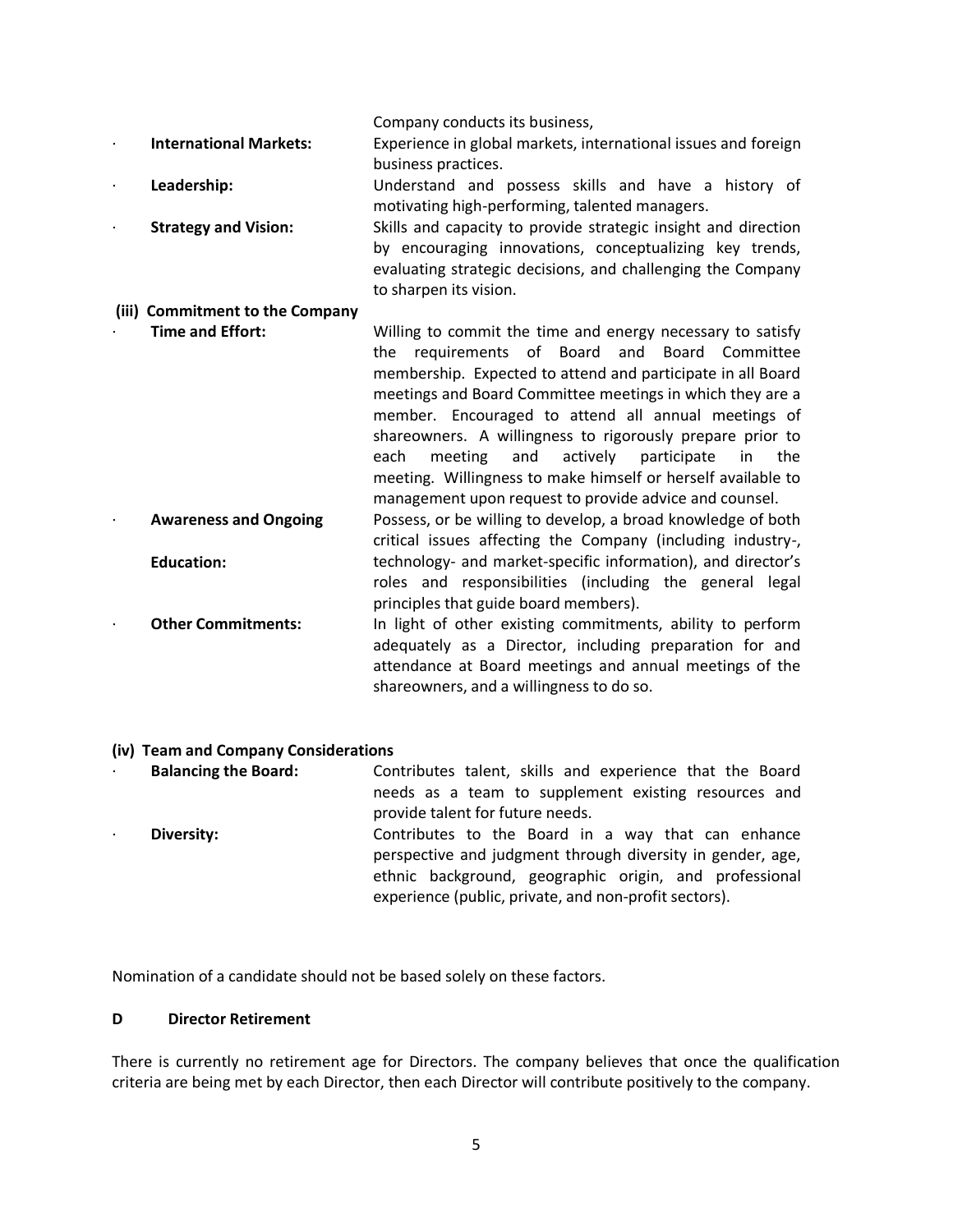Company conducts its business, · **International Markets:** Experience in global markets, international issues and foreign business practices. Leadership: **Leadership:** Understand and possess skills and have a history of motivating high-performing, talented managers. **Strategy and Vision:** Skills and capacity to provide strategic insight and direction by encouraging innovations, conceptualizing key trends, evaluating strategic decisions, and challenging the Company to sharpen its vision. **(iii) Commitment to the Company Time and Effort:** Willing to commit the time and energy necessary to satisfy the requirements of Board and Board Committee membership. Expected to attend and participate in all Board meetings and Board Committee meetings in which they are a member. Encouraged to attend all annual meetings of shareowners. A willingness to rigorously prepare prior to each meeting and actively participate in the meeting. Willingness to make himself or herself available to management upon request to provide advice and counsel. · **Awareness and Ongoing Education:** Possess, or be willing to develop, a broad knowledge of both critical issues affecting the Company (including industry-, technology- and market-specific information), and director's roles and responsibilities (including the general legal principles that guide board members). **Other Commitments:** In light of other existing commitments, ability to perform adequately as a Director, including preparation for and attendance at Board meetings and annual meetings of the

#### **(iv) Team and Company Considerations**

· **Balancing the Board:** Contributes talent, skills and experience that the Board needs as a team to supplement existing resources and provide talent for future needs. **Diversity:** Contributes to the Board in a way that can enhance perspective and judgment through diversity in gender, age, ethnic background, geographic origin, and professional experience (public, private, and non-profit sectors).

shareowners, and a willingness to do so.

Nomination of a candidate should not be based solely on these factors.

#### **D Director Retirement**

There is currently no retirement age for Directors. The company believes that once the qualification criteria are being met by each Director, then each Director will contribute positively to the company.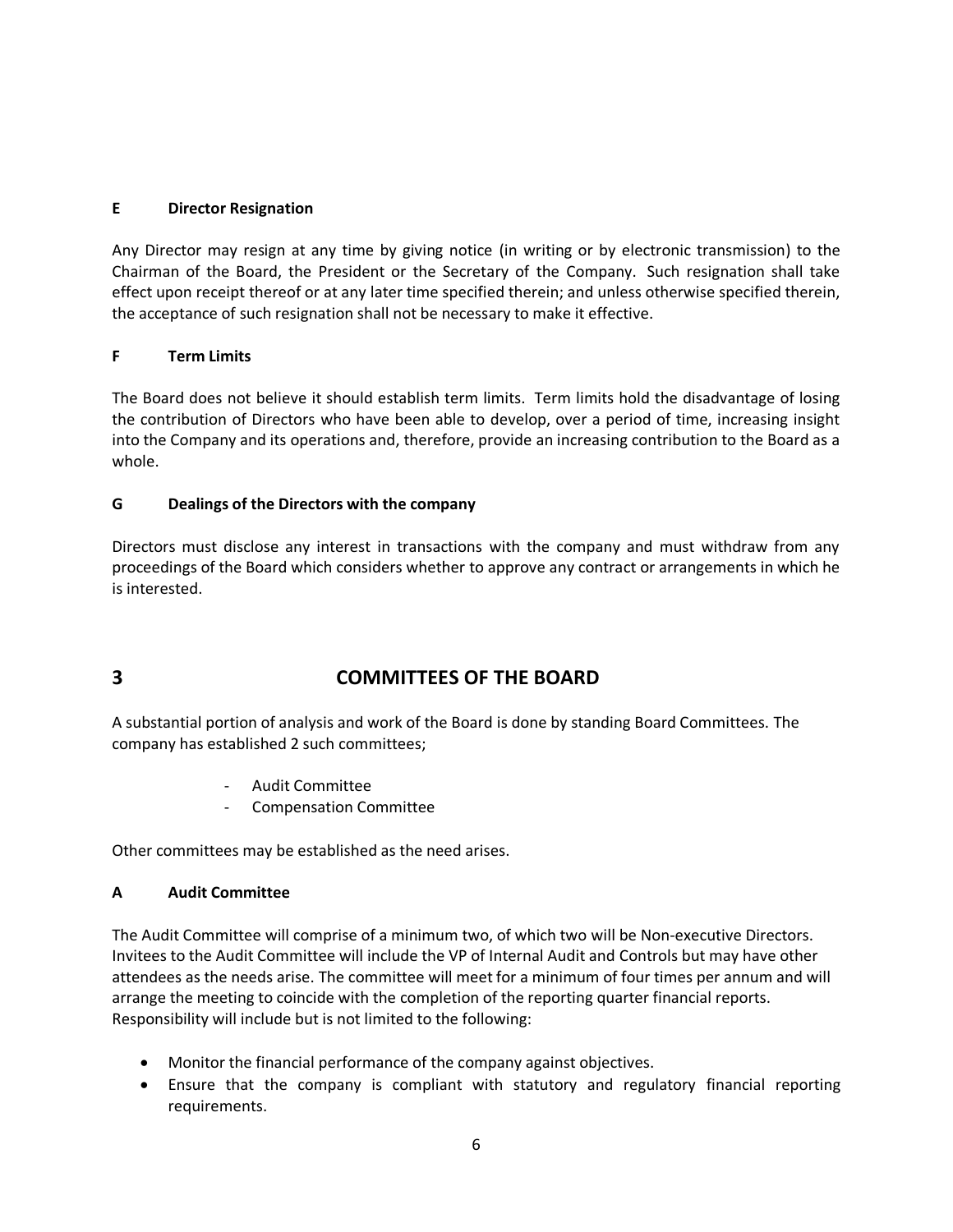#### **E Director Resignation**

Any Director may resign at any time by giving notice (in writing or by electronic transmission) to the Chairman of the Board, the President or the Secretary of the Company. Such resignation shall take effect upon receipt thereof or at any later time specified therein; and unless otherwise specified therein, the acceptance of such resignation shall not be necessary to make it effective.

#### **F Term Limits**

The Board does not believe it should establish term limits. Term limits hold the disadvantage of losing the contribution of Directors who have been able to develop, over a period of time, increasing insight into the Company and its operations and, therefore, provide an increasing contribution to the Board as a whole.

#### **G Dealings of the Directors with the company**

Directors must disclose any interest in transactions with the company and must withdraw from any proceedings of the Board which considers whether to approve any contract or arrangements in which he is interested.

# **3 COMMITTEES OF THE BOARD**

A substantial portion of analysis and work of the Board is done by standing Board Committees. The company has established 2 such committees;

- Audit Committee
- Compensation Committee

Other committees may be established as the need arises.

#### **A Audit Committee**

The Audit Committee will comprise of a minimum two, of which two will be Non-executive Directors. Invitees to the Audit Committee will include the VP of Internal Audit and Controls but may have other attendees as the needs arise. The committee will meet for a minimum of four times per annum and will arrange the meeting to coincide with the completion of the reporting quarter financial reports. Responsibility will include but is not limited to the following:

- Monitor the financial performance of the company against objectives.
- Ensure that the company is compliant with statutory and regulatory financial reporting requirements.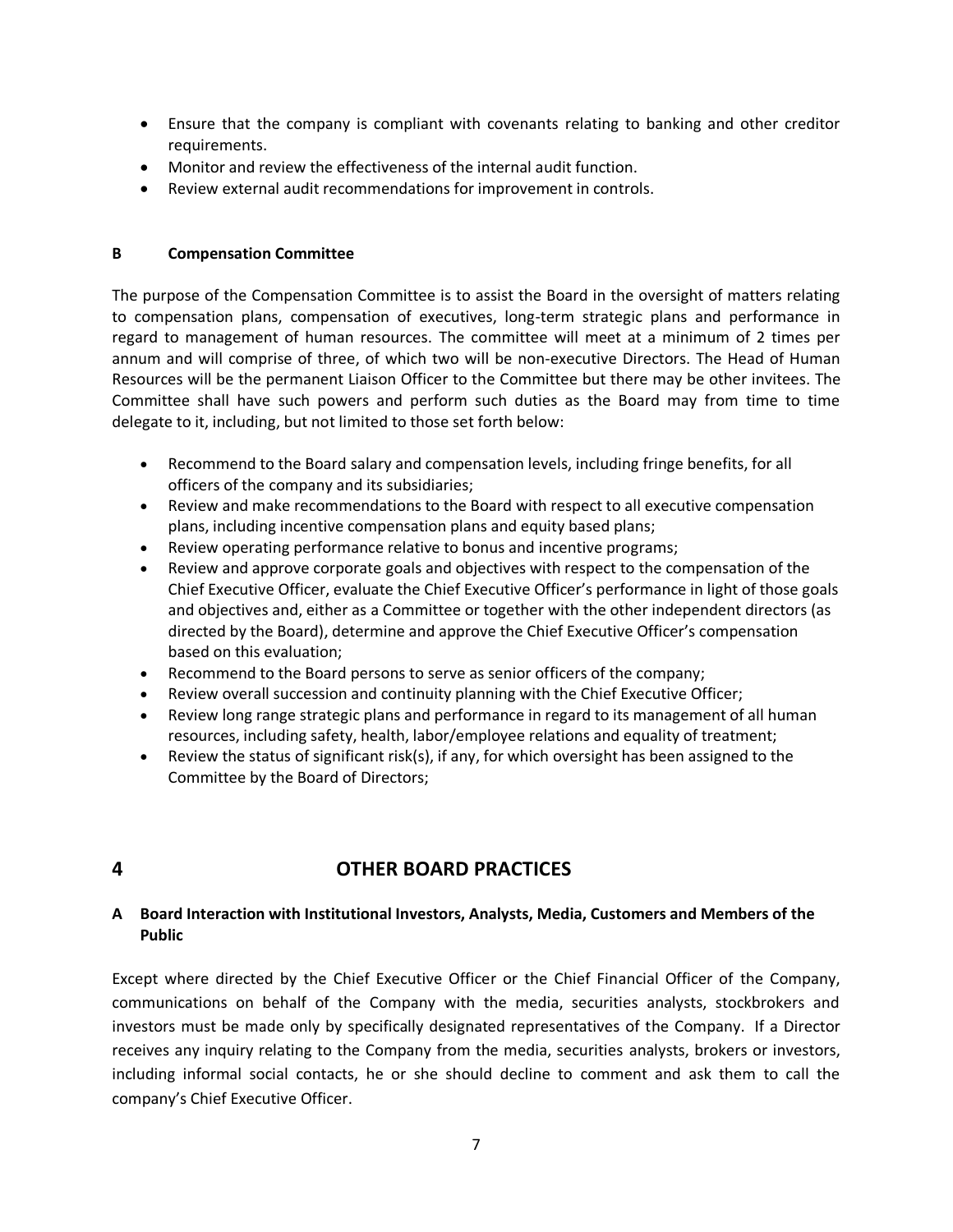- Ensure that the company is compliant with covenants relating to banking and other creditor requirements.
- Monitor and review the effectiveness of the internal audit function.
- Review external audit recommendations for improvement in controls.

#### **B Compensation Committee**

The purpose of the Compensation Committee is to assist the Board in the oversight of matters relating to compensation plans, compensation of executives, long-term strategic plans and performance in regard to management of human resources. The committee will meet at a minimum of 2 times per annum and will comprise of three, of which two will be non-executive Directors. The Head of Human Resources will be the permanent Liaison Officer to the Committee but there may be other invitees. The Committee shall have such powers and perform such duties as the Board may from time to time delegate to it, including, but not limited to those set forth below:

- Recommend to the Board salary and compensation levels, including fringe benefits, for all officers of the company and its subsidiaries;
- Review and make recommendations to the Board with respect to all executive compensation plans, including incentive compensation plans and equity based plans;
- Review operating performance relative to bonus and incentive programs;
- Review and approve corporate goals and objectives with respect to the compensation of the Chief Executive Officer, evaluate the Chief Executive Officer's performance in light of those goals and objectives and, either as a Committee or together with the other independent directors (as directed by the Board), determine and approve the Chief Executive Officer's compensation based on this evaluation;
- Recommend to the Board persons to serve as senior officers of the company;
- Review overall succession and continuity planning with the Chief Executive Officer;
- Review long range strategic plans and performance in regard to its management of all human resources, including safety, health, labor/employee relations and equality of treatment;
- **•** Review the status of significant risk(s), if any, for which oversight has been assigned to the Committee by the Board of Directors;

## **4 OTHER BOARD PRACTICES**

#### **A Board Interaction with Institutional Investors, Analysts, Media, Customers and Members of the Public**

Except where directed by the Chief Executive Officer or the Chief Financial Officer of the Company, communications on behalf of the Company with the media, securities analysts, stockbrokers and investors must be made only by specifically designated representatives of the Company. If a Director receives any inquiry relating to the Company from the media, securities analysts, brokers or investors, including informal social contacts, he or she should decline to comment and ask them to call the company's Chief Executive Officer.